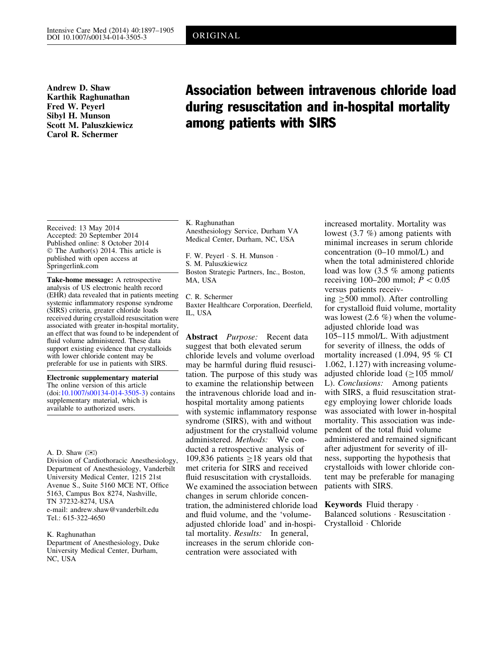Andrew D. Shaw Karthik Raghunathan Fred W. Peyerl Sibyl H. Munson Scott M. Paluszkiewicz Carol R. Schermer

# Association between intravenous chloride load during resuscitation and in-hospital mortality among patients with SIRS

Received: 13 May 2014 Accepted: 20 September 2014 Published online: 8 October 2014 © The Author(s) 2014. This article is published with open access at Springerlink.com

Take-home message: A retrospective analysis of US electronic health record (EHR) data revealed that in patients meeting systemic inflammatory response syndrome (SIRS) criteria, greater chloride loads received during crystalloid resuscitation were associated with greater in-hospital mortality, an effect that was found to be independent of fluid volume administered. These data support existing evidence that crystalloids with lower chloride content may be preferable for use in patients with SIRS.

Electronic supplementary material The online version of this article (doi:[10.1007/s00134-014-3505-3](http://dx.doi.org/10.1007/s00134-014-3505-3)) contains supplementary material, which is available to authorized users.

A. D. Shaw  $(\mathbb{Z})$ 

Division of Cardiothoracic Anesthesiology, Department of Anesthesiology, Vanderbilt University Medical Center, 1215 21st Avenue S., Suite 5160 MCE NT, Office 5163, Campus Box 8274, Nashville, TN 37232-8274, USA e-mail: andrew.shaw@vanderbilt.edu Tel.: 615-322-4650

#### K. Raghunathan

Department of Anesthesiology, Duke University Medical Center, Durham, NC, USA

K. Raghunathan Anesthesiology Service, Durham VA Medical Center, Durham, NC, USA

F. W. Peyerl - S. H. Munson - S. M. Paluszkiewicz Boston Strategic Partners, Inc., Boston, MA, USA

C. R. Schermer Baxter Healthcare Corporation, Deerfield, IL, USA

Abstract Purpose: Recent data suggest that both elevated serum chloride levels and volume overload may be harmful during fluid resuscitation. The purpose of this study was to examine the relationship between the intravenous chloride load and inhospital mortality among patients with systemic inflammatory response syndrome (SIRS), with and without adjustment for the crystalloid volume administered. Methods: We conducted a retrospective analysis of 109,836 patients  $\geq$ 18 years old that met criteria for SIRS and received fluid resuscitation with crystalloids. We examined the association between changes in serum chloride concentration, the administered chloride load and fluid volume, and the 'volumeadjusted chloride load' and in-hospital mortality. Results: In general, increases in the serum chloride concentration were associated with

increased mortality. Mortality was lowest (3.7 %) among patients with minimal increases in serum chloride concentration (0–10 mmol/L) and when the total administered chloride load was low (3.5 % among patients receiving 100–200 mmol;  $P < 0.05$ versus patients receiving  $\geq$  500 mmol). After controlling for crystalloid fluid volume, mortality was lowest  $(2.6 \%)$  when the volumeadjusted chloride load was 105–115 mmol/L. With adjustment for severity of illness, the odds of mortality increased (1.094, 95 % CI 1.062, 1.127) with increasing volumeadjusted chloride load  $(\geq 105 \text{ mmol})$ L). Conclusions: Among patients with SIRS, a fluid resuscitation strategy employing lower chloride loads was associated with lower in-hospital mortality. This association was independent of the total fluid volume administered and remained significant after adjustment for severity of illness, supporting the hypothesis that

crystalloids with lower chloride content may be preferable for managing patients with SIRS.

Keywords Fluid therapy . Balanced solutions - Resuscitation - Crystalloid - Chloride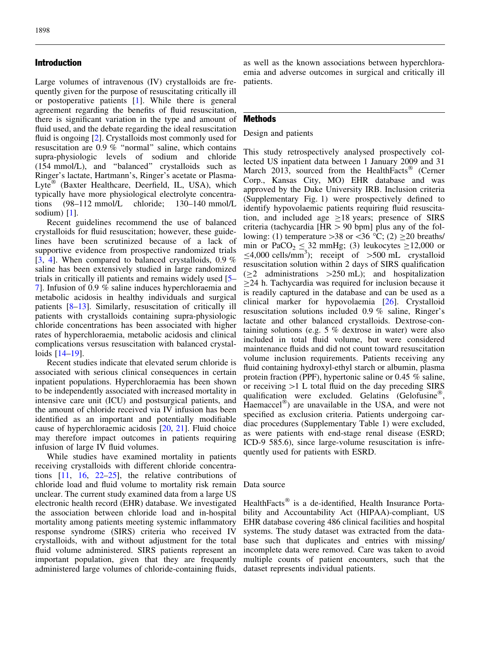## Introduction

Large volumes of intravenous (IV) crystalloids are frequently given for the purpose of resuscitating critically ill or postoperative patients [[1](#page-7-0)]. While there is general agreement regarding the benefits of fluid resuscitation, there is significant variation in the type and amount of fluid used, and the debate regarding the ideal resuscitation fluid is ongoing [\[2\]](#page-7-0). Crystalloids most commonly used for resuscitation are 0.9 % ''normal'' saline, which contains supra-physiologic levels of sodium and chloride (154 mmol/L), and ''balanced'' crystalloids such as Ringer's lactate, Hartmann's, Ringer's acetate or Plasma-Lyte<sup>®</sup> (Baxter Healthcare, Deerfield, IL, USA), which typically have more physiological electrolyte concentrations (98–112 mmol/L chloride; 130–140 mmol/L sodium) [[1](#page-7-0)].

Recent guidelines recommend the use of balanced crystalloids for fluid resuscitation; however, these guidelines have been scrutinized because of a lack of supportive evidence from prospective randomized trials [\[3](#page-7-0), [4\]](#page-7-0). When compared to balanced crystalloids, 0.9 % saline has been extensively studied in large randomized trials in critically ill patients and remains widely used [[5](#page-7-0)– [7\]](#page-7-0). Infusion of 0.9 % saline induces hyperchloraemia and metabolic acidosis in healthy individuals and surgical patients [[8–13\]](#page-7-0). Similarly, resuscitation of critically ill patients with crystalloids containing supra-physiologic chloride concentrations has been associated with higher rates of hyperchloraemia, metabolic acidosis and clinical complications versus resuscitation with balanced crystalloids [[14](#page-7-0)[–19\]](#page-8-0).

Recent studies indicate that elevated serum chloride is associated with serious clinical consequences in certain inpatient populations. Hyperchloraemia has been shown to be independently associated with increased mortality in intensive care unit (ICU) and postsurgical patients, and the amount of chloride received via IV infusion has been identified as an important and potentially modifiable cause of hyperchloraemic acidosis [\[20,](#page-8-0) [21\]](#page-8-0). Fluid choice may therefore impact outcomes in patients requiring infusion of large IV fluid volumes.

While studies have examined mortality in patients receiving crystalloids with different chloride concentrations [[11](#page-7-0), [16](#page-7-0), [22–25](#page-8-0)], the relative contributions of chloride load and fluid volume to mortality risk remain unclear. The current study examined data from a large US electronic health record (EHR) database. We investigated the association between chloride load and in-hospital mortality among patients meeting systemic inflammatory response syndrome (SIRS) criteria who received IV crystalloids, with and without adjustment for the total fluid volume administered. SIRS patients represent an important population, given that they are frequently administered large volumes of chloride-containing fluids, dataset represents individual patients.

as well as the known associations between hyperchloraemia and adverse outcomes in surgical and critically ill patients.

# Methods

#### Design and patients

This study retrospectively analysed prospectively collected US inpatient data between 1 January 2009 and 31 March 2013, sourced from the HealthFacts<sup>®</sup> (Cerner Corp., Kansas City, MO) EHR database and was approved by the Duke University IRB. Inclusion criteria (Supplementary Fig. 1) were prospectively defined to identify hypovolaemic patients requiring fluid resuscitation, and included age  $\geq$ 18 years; presence of SIRS criteria (tachycardia [HR  $> 90$  bpm] plus any of the following: (1) temperature > 38 or < 36 °C; (2) > 20 breaths/ min or PaCO<sub>2</sub>  $\leq$  32 mmHg; (3) leukocytes  $\geq$ 12,000 or  $\leq$ 4,000 cells/mm<sup>3</sup>); receipt of >500 mL crystalloid resuscitation solution within 2 days of SIRS qualification  $(\geq 2$  administrations  $>250$  mL); and hospitalization  $\geq$ 24 h. Tachycardia was required for inclusion because it is readily captured in the database and can be used as a clinical marker for hypovolaemia [\[26\]](#page-8-0). Crystalloid resuscitation solutions included 0.9 % saline, Ringer's lactate and other balanced crystalloids. Dextrose-containing solutions (e.g. 5 % dextrose in water) were also included in total fluid volume, but were considered maintenance fluids and did not count toward resuscitation volume inclusion requirements. Patients receiving any fluid containing hydroxyl-ethyl starch or albumin, plasma protein fraction (PPF), hypertonic saline or 0.45 % saline, or receiving  $>1$  L total fluid on the day preceding SIRS qualification were excluded. Gelatins (Gelofusine®, Haemaccel<sup>®</sup>) are unavailable in the USA, and were not specified as exclusion criteria. Patients undergoing cardiac procedures (Supplementary Table 1) were excluded, as were patients with end-stage renal disease (ESRD; ICD-9 585.6), since large-volume resuscitation is infrequently used for patients with ESRD.

#### Data source

HealthFacts® is a de-identified, Health Insurance Portability and Accountability Act (HIPAA)-compliant, US EHR database covering 486 clinical facilities and hospital systems. The study dataset was extracted from the database such that duplicates and entries with missing/ incomplete data were removed. Care was taken to avoid multiple counts of patient encounters, such that the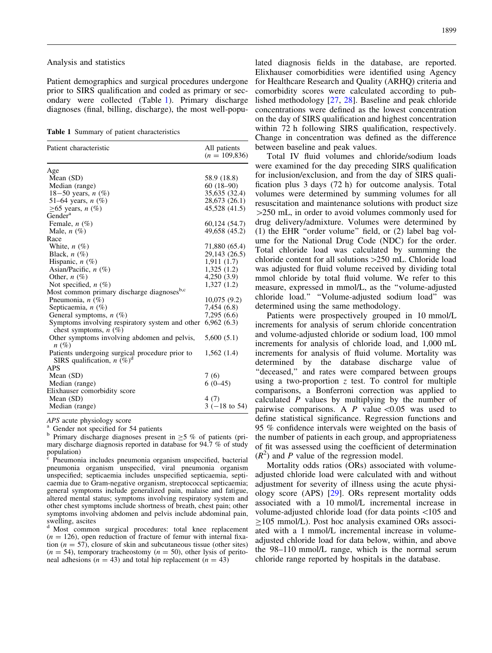#### <span id="page-2-0"></span>Analysis and statistics

Patient demographics and surgical procedures undergone prior to SIRS qualification and coded as primary or secondary were collected (Table 1). Primary discharge diagnoses (final, billing, discharge), the most well-popu-

Table 1 Summary of patient characteristics

| Patient characteristic                                                            | All patients<br>$(n = 109,836)$ |
|-----------------------------------------------------------------------------------|---------------------------------|
| Age                                                                               |                                 |
| Mean (SD)                                                                         | 58.9 (18.8)                     |
| Median (range)                                                                    | $60(18-90)$                     |
| 18–50 years, $n$ (%)                                                              | 35,635 (32.4)                   |
| 51–64 years, <i>n</i> $(\%)$                                                      | 28,673 (26.1)                   |
| $>65$ years, n $(\%)$                                                             | 45,528 (41.5)                   |
| Gender <sup>a</sup>                                                               |                                 |
| Female, $n$ (%)                                                                   | 60,124 (54.7)                   |
| Male, $n \ (\%)$                                                                  | 49,658 (45.2)                   |
| Race                                                                              |                                 |
| White, $n(\%)$                                                                    | 71,880 (65.4)                   |
| Black, $n(\%)$                                                                    | 29,143 (26.5)                   |
| Hispanic, $n(\%)$                                                                 | 1,911 (1.7)                     |
| Asian/Pacific, $n$ (%)                                                            | 1,325(1.2)                      |
| Other, $n(\%)$                                                                    | 4,250 (3.9)                     |
| Not specified, $n$ (%)                                                            | 1,327(1.2)                      |
| Most common primary discharge diagnosesb,c                                        |                                 |
| Pneumonia, $n$ (%)                                                                | 10,075(9.2)                     |
| Septicaemia, $n$ (%)                                                              | 7,454 (6.8)                     |
| General symptoms, $n$ (%)                                                         | 7,295(6.6)                      |
| Symptoms involving respiratory system and other<br>chest symptoms, $n$ (%)        | 6,962(6.3)                      |
| Other symptoms involving abdomen and pelvis,<br>$n(\%)$                           | 5,600(5.1)                      |
| Patients undergoing surgical procedure prior to<br>SIRS qualification, $n (\%)^d$ | 1,562(1.4)                      |
| <b>APS</b>                                                                        |                                 |
| Mean (SD)                                                                         | 7 (6)                           |
| Median (range)                                                                    | $6(0-45)$                       |
| Elixhauser comorbidity score                                                      |                                 |
| Mean $(SD)$                                                                       | 4(7)                            |
| Median (range)                                                                    | $3(-18 \text{ to } 54)$         |

APS acute physiology score<br><sup>a</sup> Gender not specified for 54 patients in  $\geq$ 5 % of patients (pri-<br><sup>b</sup> Primary discharge diagnoses present in  $\geq$ 5 % of patients (primary discharge diagnosis reported in database for 94.7 % of study population)

 $\epsilon$  Pneumonia includes pneumonia organism unspecified, bacterial pneumonia organism unspecified, viral pneumonia organism unspecified; septicaemia includes unspecified septicaemia, septicaemia due to Gram-negative organism, streptococcal septicaemia; general symptoms include generalized pain, malaise and fatigue, altered mental status; symptoms involving respiratory system and other chest symptoms include shortness of breath, chest pain; other symptoms involving abdomen and pelvis include abdominal pain, swelling, ascites

<sup>d</sup> Most common surgical procedures: total knee replacement  $(n = 126)$ , open reduction of fracture of femur with internal fixation ( $n = 57$ ), closure of skin and subcutaneous tissue (other sites)  $(n = 54)$ , temporary tracheostomy  $(n = 50)$ , other lysis of peritoneal adhesions ( $n = 43$ ) and total hip replacement ( $n = 43$ )

lated diagnosis fields in the database, are reported. Elixhauser comorbidities were identified using Agency for Healthcare Research and Quality (ARHQ) criteria and comorbidity scores were calculated according to published methodology [[27](#page-8-0), [28\]](#page-8-0). Baseline and peak chloride concentrations were defined as the lowest concentration on the day of SIRS qualification and highest concentration within 72 h following SIRS qualification, respectively. Change in concentration was defined as the difference between baseline and peak values.

Total IV fluid volumes and chloride/sodium loads were examined for the day preceding SIRS qualification for inclusion/exclusion, and from the day of SIRS qualification plus 3 days (72 h) for outcome analysis. Total volumes were determined by summing volumes for all resuscitation and maintenance solutions with product size  $>250$  mL, in order to avoid volumes commonly used for drug delivery/admixture. Volumes were determined by (1) the EHR ''order volume'' field, or (2) label bag volume for the National Drug Code (NDC) for the order. Total chloride load was calculated by summing the chloride content for all solutions > 250 mL. Chloride load was adjusted for fluid volume received by dividing total mmol chloride by total fluid volume. We refer to this measure, expressed in mmol/L, as the ''volume-adjusted chloride load.'' ''Volume-adjusted sodium load'' was determined using the same methodology.

Patients were prospectively grouped in 10 mmol/L increments for analysis of serum chloride concentration and volume-adjusted chloride or sodium load, 100 mmol increments for analysis of chloride load, and 1,000 mL increments for analysis of fluid volume. Mortality was determined by the database discharge value of ''deceased,'' and rates were compared between groups using a two-proportion  $z$  test. To control for multiple comparisons, a Bonferroni correction was applied to calculated  $P$  values by multiplying by the number of pairwise comparisons. A P value  $\langle 0.05 \rangle$  was used to define statistical significance. Regression functions and 95 % confidence intervals were weighted on the basis of the number of patients in each group, and appropriateness of fit was assessed using the coefficient of determination  $(R<sup>2</sup>)$  and P value of the regression model.

Mortality odds ratios (ORs) associated with volumeadjusted chloride load were calculated with and without adjustment for severity of illness using the acute physiology score (APS) [\[29\]](#page-8-0). ORs represent mortality odds associated with a 10 mmol/L incremental increase in volume-adjusted chloride load (for data points \105 and  $\geq$ 105 mmol/L). Post hoc analysis examined ORs associated with a 1 mmol/L incremental increase in volumeadjusted chloride load for data below, within, and above the 98–110 mmol/L range, which is the normal serum chloride range reported by hospitals in the database.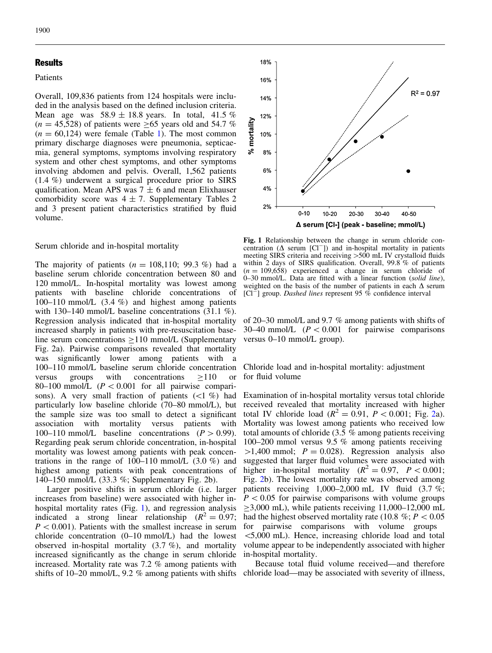#### **Results**

## Patients

Overall, 109,836 patients from 124 hospitals were included in the analysis based on the defined inclusion criteria. Mean age was  $58.9 \pm 18.8$  years. In total, 41.5 %  $(n = 45,528)$  of patients were  $\geq 65$  years old and 54.7 %  $(n = 60,124)$  $(n = 60,124)$  $(n = 60,124)$  were female (Table 1). The most common primary discharge diagnoses were pneumonia, septicaemia, general symptoms, symptoms involving respiratory system and other chest symptoms, and other symptoms involving abdomen and pelvis. Overall, 1,562 patients (1.4 %) underwent a surgical procedure prior to SIRS qualification. Mean APS was  $7 \pm 6$  and mean Elixhauser comorbidity score was  $4 \pm 7$ . Supplementary Tables 2 and 3 present patient characteristics stratified by fluid volume.

#### Serum chloride and in-hospital mortality

The majority of patients  $(n = 108, 110; 99.3\%)$  had a baseline serum chloride concentration between 80 and 120 mmol/L. In-hospital mortality was lowest among patients with baseline chloride concentrations of 100–110 mmol/L (3.4 %) and highest among patients with 130–140 mmol/L baseline concentrations (31.1 %). Regression analysis indicated that in-hospital mortality increased sharply in patients with pre-resuscitation baseline serum concentrations  $>110$  mmol/L (Supplementary Fig. 2a). Pairwise comparisons revealed that mortality was significantly lower among patients with a 100–110 mmol/L baseline serum chloride concentration versus groups with concentrations  $>110$  or 80–100 mmol/L  $(P < 0.001$  for all pairwise comparisons). A very small fraction of patients  $(\leq 1 \%)$  had particularly low baseline chloride (70–80 mmol/L), but the sample size was too small to detect a significant association with mortality versus patients with 100–110 mmol/L baseline concentrations  $(P > 0.99)$ . Regarding peak serum chloride concentration, in-hospital mortality was lowest among patients with peak concentrations in the range of  $100-110$  mmol/L  $(3.0\%)$  and highest among patients with peak concentrations of 140–150 mmol/L (33.3 %; Supplementary Fig. 2b).

Larger positive shifts in serum chloride (i.e. larger increases from baseline) were associated with higher inhospital mortality rates (Fig. 1), and regression analysis indicated a strong linear relationship  $(R^2 = 0.97)$ ;  $P < 0.001$ ). Patients with the smallest increase in serum chloride concentration (0–10 mmol/L) had the lowest observed in-hospital mortality (3.7 %), and mortality increased significantly as the change in serum chloride increased. Mortality rate was 7.2 % among patients with shifts of 10–20 mmol/L, 9.2 % among patients with shifts



Fig. 1 Relationship between the change in serum chloride concentration  $(\Delta \text{ serum } [Cl^-])$  and in-hospital mortality in patients meeting SIRS criteria and receiving  $>500$  mL IV crystalloid fluids within 2 days of SIRS qualification. Overall, 99.8 % of patients  $(n = 109,658)$  experienced a change in serum chloride of 0–30 mmol/L. Data are fitted with a linear function (solid line), weighted on the basis of the number of patients in each  $\Delta$  serum  $\lbrack$ Cl<sup>-</sup>  $\rbrack$  group. *Dashed lines* represent 95 % confidence interval

of 20–30 mmol/L and 9.7 % among patients with shifts of 30–40 mmol/L  $(P < 0.001$  for pairwise comparisons versus 0–10 mmol/L group).

Chloride load and in-hospital mortality: adjustment for fluid volume

Examination of in-hospital mortality versus total chloride received revealed that mortality increased with higher total IV chloride load ( $R^2 = 0.91$ ,  $P < 0.001$ ; Fig. [2a](#page-4-0)). Mortality was lowest among patients who received low total amounts of chloride (3.5 % among patients receiving 100–200 mmol versus 9.5 % among patients receiving  $>1,400$  mmol;  $P = 0.028$ ). Regression analysis also suggested that larger fluid volumes were associated with higher in-hospital mortality ( $R^2 = 0.97$ ,  $P < 0.001$ ; Fig. [2](#page-4-0)b). The lowest mortality rate was observed among patients receiving  $1,000-2,000$  mL IV fluid  $(3.7\%;$  $P<0.05$  for pairwise comparisons with volume groups  $\geq$ 3,000 mL), while patients receiving 11,000–12,000 mL had the highest observed mortality rate (10.8 %;  $P < 0.05$ ) for pairwise comparisons with volume groups \5,000 mL). Hence, increasing chloride load and total volume appear to be independently associated with higher in-hospital mortality.

Because total fluid volume received—and therefore chloride load—may be associated with severity of illness,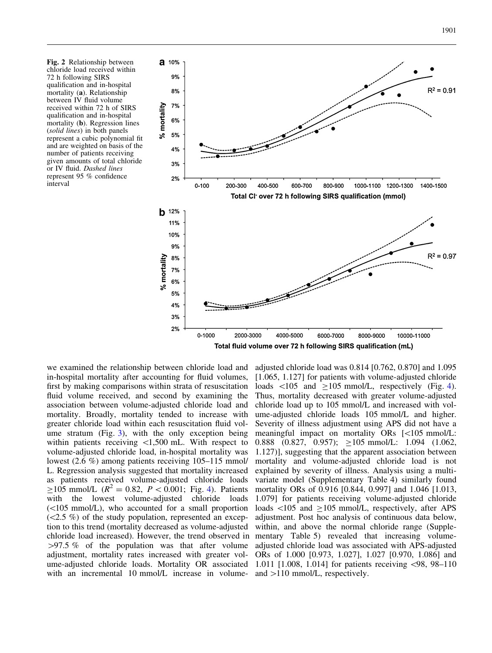<span id="page-4-0"></span>Fig. 2 Relationship between chloride load received within 72 h following SIRS qualification and in-hospital mortality (a). Relationship between IV fluid volume received within 72 h of SIRS qualification and in-hospital mortality (b). Regression lines (solid lines) in both panels represent a cubic polynomial fit and are weighted on basis of the number of patients receiving given amounts of total chloride or IV fluid. Dashed lines represent 95 % confidence interval



we examined the relationship between chloride load and in-hospital mortality after accounting for fluid volumes, first by making comparisons within strata of resuscitation fluid volume received, and second by examining the association between volume-adjusted chloride load and mortality. Broadly, mortality tended to increase with greater chloride load within each resuscitation fluid volume stratum (Fig. [3\)](#page-5-0), with the only exception being within patients receiving  $\langle 1,500 \rangle$  mL. With respect to volume-adjusted chloride load, in-hospital mortality was lowest (2.6 %) among patients receiving 105–115 mmol/ L. Regression analysis suggested that mortality increased as patients received volume-adjusted chloride loads  $>105$  mmol/L ( $R^2 = 0.82$ ,  $P < 0.001$ ; Fig. [4\)](#page-6-0). Patients with the lowest volume-adjusted chloride loads  $(\leq 105 \text{ mmol/L})$ , who accounted for a small proportion  $(\leq 2.5 \%)$  of the study population, represented an exception to this trend (mortality decreased as volume-adjusted chloride load increased). However, the trend observed in  $>97.5\%$  of the population was that after volume adjustment, mortality rates increased with greater volume-adjusted chloride loads. Mortality OR associated 1.011 [1.008, 1.014] for patients receiving <98, 98–110 with an incremental 10 mmol/L increase in volume- and >110 mmol/L, respectively.

adjusted chloride load was 0.814 [0.762, 0.870] and 1.095 [1.065, 1.127] for patients with volume-adjusted chloride loads  $\langle 105 \text{ and } \geq 105 \text{ mmol/L}$ , respectively (Fig. [4\)](#page-6-0). Thus, mortality decreased with greater volume-adjusted chloride load up to 105 mmol/L and increased with volume-adjusted chloride loads 105 mmol/L and higher. Severity of illness adjustment using APS did not have a meaningful impact on mortality ORs  $\lfloor \langle 105 \text{ mmol/L} \rfloor \rfloor$ 0.888 (0.827, 0.957);  $\geq 105$  mmol/L: 1.094 (1.062, 1.127)], suggesting that the apparent association between mortality and volume-adjusted chloride load is not explained by severity of illness. Analysis using a multivariate model (Supplementary Table 4) similarly found mortality ORs of 0.916 [0.844, 0.997] and 1.046 [1.013, 1.079] for patients receiving volume-adjusted chloride loads  $\langle 105 \text{ and } \geq 105 \text{ mmol/L}$ , respectively, after APS adjustment. Post hoc analysis of continuous data below, within, and above the normal chloride range (Supplementary Table 5) revealed that increasing volumeadjusted chloride load was associated with APS-adjusted ORs of 1.000 [0.973, 1.027], 1.027 [0.970, 1.086] and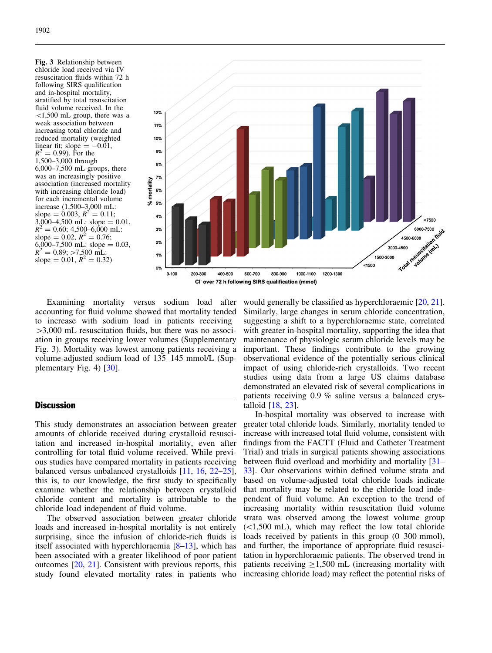<span id="page-5-0"></span>

Examining mortality versus sodium load after accounting for fluid volume showed that mortality tended to increase with sodium load in patients receiving  $>3,000$  mL resuscitation fluids, but there was no association in groups receiving lower volumes (Supplementary Fig. 3). Mortality was lowest among patients receiving a volume-adjusted sodium load of 135–145 mmol/L (Supplementary Fig. 4) [[30](#page-8-0)].

# **Discussion**

This study demonstrates an association between greater amounts of chloride received during crystalloid resuscitation and increased in-hospital mortality, even after controlling for total fluid volume received. While previous studies have compared mortality in patients receiving balanced versus unbalanced crystalloids [[11](#page-7-0), [16,](#page-7-0) [22–25](#page-8-0)], this is, to our knowledge, the first study to specifically examine whether the relationship between crystalloid chloride content and mortality is attributable to the chloride load independent of fluid volume.

The observed association between greater chloride loads and increased in-hospital mortality is not entirely surprising, since the infusion of chloride-rich fluids is itself associated with hyperchloraemia  $[8-13]$ , which has been associated with a greater likelihood of poor patient outcomes [[20](#page-8-0), [21\]](#page-8-0). Consistent with previous reports, this study found elevated mortality rates in patients who

would generally be classified as hyperchloraemic [\[20,](#page-8-0) [21\]](#page-8-0). Similarly, large changes in serum chloride concentration, suggesting a shift to a hyperchloraemic state, correlated with greater in-hospital mortality, supporting the idea that maintenance of physiologic serum chloride levels may be important. These findings contribute to the growing observational evidence of the potentially serious clinical impact of using chloride-rich crystalloids. Two recent studies using data from a large US claims database demonstrated an elevated risk of several complications in patients receiving 0.9 % saline versus a balanced crystalloid [[18](#page-8-0), [23\]](#page-8-0).

In-hospital mortality was observed to increase with greater total chloride loads. Similarly, mortality tended to increase with increased total fluid volume, consistent with findings from the FACTT (Fluid and Catheter Treatment Trial) and trials in surgical patients showing associations between fluid overload and morbidity and mortality [[31](#page-8-0)– [33](#page-8-0)]. Our observations within defined volume strata and based on volume-adjusted total chloride loads indicate that mortality may be related to the chloride load independent of fluid volume. An exception to the trend of increasing mortality within resuscitation fluid volume strata was observed among the lowest volume group  $(<1,500$  mL), which may reflect the low total chloride loads received by patients in this group  $(0-300 \text{ mmol})$ , and further, the importance of appropriate fluid resuscitation in hyperchloraemic patients. The observed trend in patients receiving  $\geq$ 1,500 mL (increasing mortality with increasing chloride load) may reflect the potential risks of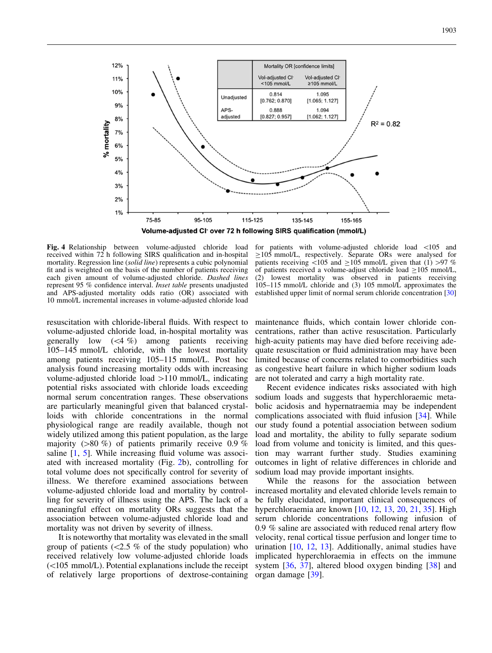<span id="page-6-0"></span>

Fig. 4 Relationship between volume-adjusted chloride load received within 72 h following SIRS qualification and in-hospital mortality. Regression line (solid line) represents a cubic polynomial fit and is weighted on the basis of the number of patients receiving each given amount of volume-adjusted chloride. Dashed lines represent 95 % confidence interval. Inset table presents unadjusted and APS-adjusted mortality odds ratio (OR) associated with 10 mmol/L incremental increases in volume-adjusted chloride load

resuscitation with chloride-liberal fluids. With respect to volume-adjusted chloride load, in-hospital mortality was generally low  $(\leq 4 \%)$  among patients receiving 105–145 mmol/L chloride, with the lowest mortality among patients receiving 105–115 mmol/L. Post hoc analysis found increasing mortality odds with increasing volume-adjusted chloride load  $>110$  mmol/L, indicating potential risks associated with chloride loads exceeding normal serum concentration ranges. These observations are particularly meaningful given that balanced crystalloids with chloride concentrations in the normal physiological range are readily available, though not widely utilized among this patient population, as the large majority ( $>80 \%$ ) of patients primarily receive 0.9 % saline [[1,](#page-7-0) [5\]](#page-7-0). While increasing fluid volume was associated with increased mortality (Fig. [2b](#page-4-0)), controlling for total volume does not specifically control for severity of illness. We therefore examined associations between volume-adjusted chloride load and mortality by controlling for severity of illness using the APS. The lack of a meaningful effect on mortality ORs suggests that the association between volume-adjusted chloride load and mortality was not driven by severity of illness.

It is noteworthy that mortality was elevated in the small group of patients  $\langle \langle 2.5 \rangle$  % of the study population) who received relatively low volume-adjusted chloride loads  $(\leq 105 \text{ mmol/L})$ . Potential explanations include the receipt of relatively large proportions of dextrose-containing

for patients with volume-adjusted chloride load \105 and  $>105$  mmol/L, respectively. Separate ORs were analysed for patients receiving  $\langle 105 \text{ and } \geq 105 \text{ mmol/L}$  given that (1)  $>97 \%$ of patients received a volume-adjust chloride load  $\geq$  105 mmol/L, lowest mortality was observed in patients receiving 105–115 mmol/L chloride and (3) 105 mmol/L approximates the established upper limit of normal serum chloride concentration [[30\]](#page-8-0)

maintenance fluids, which contain lower chloride concentrations, rather than active resuscitation. Particularly high-acuity patients may have died before receiving adequate resuscitation or fluid administration may have been limited because of concerns related to comorbidities such as congestive heart failure in which higher sodium loads are not tolerated and carry a high mortality rate.

Recent evidence indicates risks associated with high sodium loads and suggests that hyperchloraemic metabolic acidosis and hypernatraemia may be independent complications associated with fluid infusion [\[34\]](#page-8-0). While our study found a potential association between sodium load and mortality, the ability to fully separate sodium load from volume and tonicity is limited, and this question may warrant further study. Studies examining outcomes in light of relative differences in chloride and sodium load may provide important insights.

While the reasons for the association between increased mortality and elevated chloride levels remain to be fully elucidated, important clinical consequences of hyperchloraemia are known [[10](#page-7-0), [12](#page-7-0), [13](#page-7-0), [20](#page-8-0), [21](#page-8-0), [35\]](#page-8-0). High serum chloride concentrations following infusion of 0.9 % saline are associated with reduced renal artery flow velocity, renal cortical tissue perfusion and longer time to urination [\[10,](#page-7-0) [12](#page-7-0), [13](#page-7-0)]. Additionally, animal studies have implicated hyperchloraemia in effects on the immune system [[36](#page-8-0), [37](#page-8-0)], altered blood oxygen binding [\[38\]](#page-8-0) and organ damage [[39](#page-8-0)].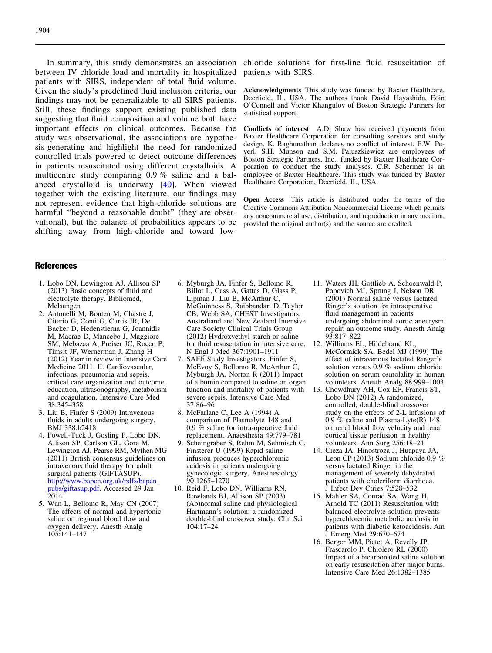<span id="page-7-0"></span>between IV chloride load and mortality in hospitalized patients with SIRS, independent of total fluid volume. Given the study's predefined fluid inclusion criteria, our findings may not be generalizable to all SIRS patients. Still, these findings support existing published data suggesting that fluid composition and volume both have important effects on clinical outcomes. Because the study was observational, the associations are hypothesis-generating and highlight the need for randomized controlled trials powered to detect outcome differences in patients resuscitated using different crystalloids. A multicentre study comparing 0.9 % saline and a balanced crystalloid is underway [\[40](#page-8-0)]. When viewed together with the existing literature, our findings may not represent evidence that high-chloride solutions are harmful "beyond a reasonable doubt" (they are observational), but the balance of probabilities appears to be shifting away from high-chloride and toward low-

#### In summary, this study demonstrates an association chloride solutions for first-line fluid resuscitation of patients with SIRS.

Acknowledgments This study was funded by Baxter Healthcare, Deerfield, IL, USA. The authors thank David Hayashida, Eoin O'Connell and Victor Khangulov of Boston Strategic Partners for statistical support.

Conflicts of interest A.D. Shaw has received payments from Baxter Healthcare Corporation for consulting services and study design. K. Raghunathan declares no conflict of interest. F.W. Peyerl, S.H. Munson and S.M. Paluszkiewicz are employees of Boston Strategic Partners, Inc., funded by Baxter Healthcare Corporation to conduct the study analyses. C.R. Schermer is an employee of Baxter Healthcare. This study was funded by Baxter Healthcare Corporation, Deerfield, IL, USA.

Open Access This article is distributed under the terms of the Creative Commons Attribution Noncommercial License which permits any noncommercial use, distribution, and reproduction in any medium, provided the original author(s) and the source are credited.

### **References**

- 1. Lobo DN, Lewington AJ, Allison SP (2013) Basic concepts of fluid and electrolyte therapy. Bibliomed, Melsungen
- 2. Antonelli M, Bonten M, Chastre J, Citerio G, Conti G, Curtis JR, De Backer D, Hedenstierna G, Joannidis M, Macrae D, Mancebo J, Maggiore SM, Mebazaa A, Preiser JC, Rocco P, Timsit JF, Wernerman J, Zhang H (2012) Year in review in Intensive Care Medicine 2011. II. Cardiovascular, infections, pneumonia and sepsis, critical care organization and outcome, education, ultrasonography, metabolism and coagulation. Intensive Care Med 38:345–358
- 3. Liu B, Finfer S (2009) Intravenous fluids in adults undergoing surgery. BMJ 338:b2418
- 4. Powell-Tuck J, Gosling P, Lobo DN, Allison SP, Carlson GL, Gore M, Lewington AJ, Pearse RM, Mythen MG (2011) British consensus guidelines on intravenous fluid therapy for adult surgical patients (GIFTASUP). [http://www.bapen.org.uk/pdfs/bapen\\_](http://www.bapen.org.uk/pdfs/bapen_pubs/giftasup.pdf) [pubs/giftasup.pdf](http://www.bapen.org.uk/pdfs/bapen_pubs/giftasup.pdf). Accessed 29 Jan 2014
- 5. Wan L, Bellomo R, May CN (2007) The effects of normal and hypertonic saline on regional blood flow and oxygen delivery. Anesth Analg 105:141–147
- 6. Myburgh JA, Finfer S, Bellomo R, Billot L, Cass A, Gattas D, Glass P, Lipman J, Liu B, McArthur C, McGuinness S, Raibbandari D, Taylor CB, Webb SA, CHEST Investigators, Australiand and New Zealand Intensive Care Society Clinical Trials Group (2012) Hydroxyethyl starch or saline for fluid resuscitation in intensive care. N Engl J Med 367:1901–1911
- 7. SAFE Study Investigators, Finfer S, McEvoy S, Bellomo R, McArthur C, Myburgh JA, Norton R (2011) Impact of albumin compared to saline on organ function and mortality of patients with severe sepsis. Intensive Care Med 37:86–96
- 8. McFarlane C, Lee A (1994) A comparison of Plasmalyte 148 and 0.9 % saline for intra-operative fluid replacement. Anaesthesia 49:779–781
- 9. Scheingraber S, Rehm M, Sehmisch C, Finsterer U (1999) Rapid saline infusion produces hyperchloremic acidosis in patients undergoing gynecologic surgery. Anesthesiology 90:1265–1270
- 10. Reid F, Lobo DN, Williams RN, Rowlands BJ, Allison SP (2003) (Ab)normal saline and physiological Hartmann's solution: a randomized double-blind crossover study. Clin Sci 104:17–24
- 11. Waters JH, Gottlieb A, Schoenwald P, Popovich MJ, Sprung J, Nelson DR (2001) Normal saline versus lactated Ringer's solution for intraoperative fluid management in patients undergoing abdominal aortic aneurysm repair: an outcome study. Anesth Analg 93:817–822
- 12. Williams EL, Hildebrand KL, McCormick SA, Bedel MJ (1999) The effect of intravenous lactated Ringer's solution versus 0.9 % sodium chloride solution on serum osmolality in human volunteers. Anesth Analg 88:999–1003
- 13. Chowdhury AH, Cox EF, Francis ST, Lobo DN (2012) A randomized, controlled, double-blind crossover study on the effects of 2-L infusions of 0.9 % saline and Plasma-Lyte(R) 148 on renal blood flow velocity and renal cortical tissue perfusion in healthy volunteers. Ann Surg 256:18–24
- 14. Cieza JA, Hinostroza J, Huapaya JA, Leon CP (2013) Sodium chloride 0.9 % versus lactated Ringer in the management of severely dehydrated patients with choleriform diarrhoea. J Infect Dev Ctries 7:528–532
- 15. Mahler SA, Conrad SA, Wang H, Arnold TC (2011) Resuscitation with balanced electrolyte solution prevents hyperchloremic metabolic acidosis in patients with diabetic ketoacidosis. Am J Emerg Med 29:670–674
- 16. Berger MM, Pictet A, Revelly JP, Frascarolo P, Chiolero RL (2000) Impact of a bicarbonated saline solution on early resuscitation after major burns. Intensive Care Med 26:1382–1385